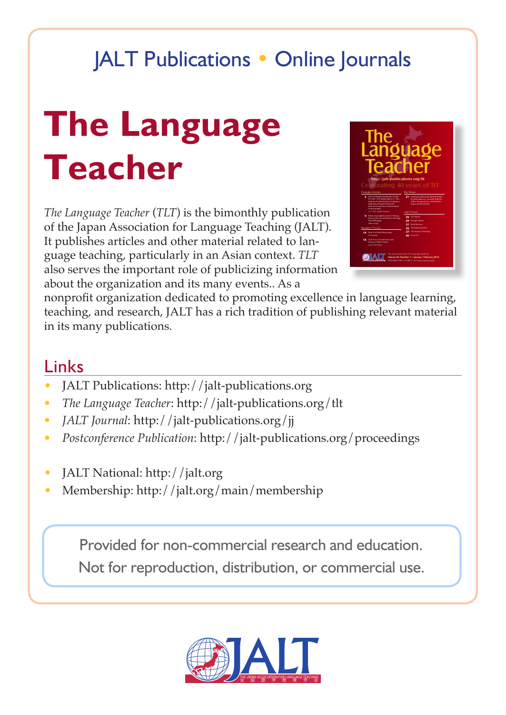## JALT Publications • Online Journals

# **The Language Teacher**

*The Language Teacher* (*TLT*) is the bimonthly publication of the Japan Association for Language Teaching (JALT). It publishes articles and other material related to language teaching, particularly in an Asian context. *TLT* also serves the important role of publicizing information about the organization and its many events.. As a



nonprofit organization dedicated to promoting excellence in language learning, teaching, and research, JALT has a rich tradition of publishing relevant material in its many publications.

## Links

- JALT Publications: http://jalt-publications.org
- *• The Language Teacher*: http://jalt-publications.org/tlt
- *• JALT Journal*: http://jalt-publications.org/jj
- *• Postconference Publication*: http://jalt-publications.org/proceedings
- JALT National: http://jalt.org
- Membership: http://jalt.org/main/membership

Provided for non-commercial research and education.

Not for reproduction, distribution, or commercial use.

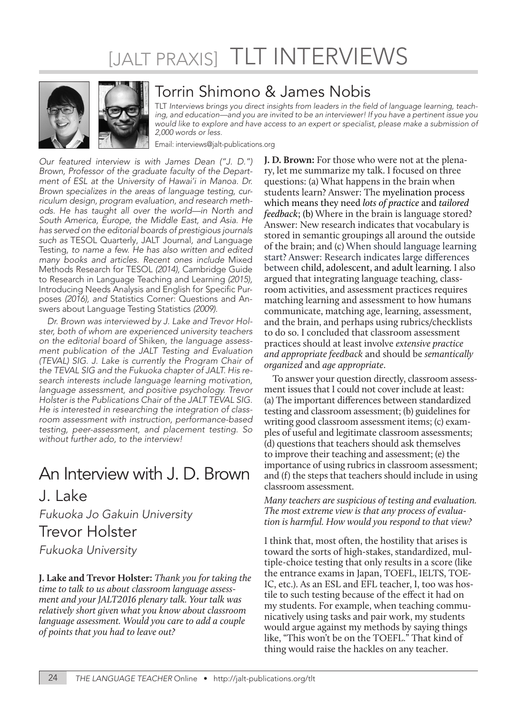# [JALT PRAXIS] TLT INTERVIEWS



### Torrin Shimono & James Nobis

TLT Interviews brings you direct insights from leaders in the field of language learning, teaching, and education—and you are invited to be an interviewer! If you have a pertinent issue you would like to explore and have access to an expert or specialist, please make a submission of 2,000 words or less.

Email: interviews@jalt-publications.org

*Our featured interview is with James Dean ("J. D.") Brown, Professor of the graduate faculty of the Department of ESL at the University of Hawai'i in Manoa. Dr. Brown specializes in the areas of language testing, curriculum design, program evaluation, and research methods. He has taught all over the world—in North and South America, Europe, the Middle East, and Asia. He has served on the editorial boards of prestigious journals such as* TESOL Quarterly*,* JALT Journal*, and* Language Testing*, to name a few. He has also written and edited many books and articles. Recent ones include* Mixed Methods Research for TESOL *(2014),* Cambridge Guide to Research in Language Teaching and Learning *(2015),*  Introducing Needs Analysis and English for Specific Purposes *(2016), and* Statistics Corner: Questions and Answers about Language Testing Statistics *(2009).*

*Dr. Brown was interviewed by J. Lake and Trevor Holster, both of whom are experienced university teachers on the editorial board of* Shiken*, the language assessment publication of the JALT Testing and Evaluation (TEVAL) SIG. J. Lake is currently the Program Chair of the TEVAL SIG and the Fukuoka chapter of JALT. His research interests include language learning motivation, language assessment, and positive psychology. Trevor Holster is the Publications Chair of the JALT TEVAL SIG. He is interested in researching the integration of classroom assessment with instruction, performance-based testing, peer-assessment, and placement testing. So without further ado, to the interview!*

## An Interview with J. D. Brown

#### J. Lake

*Fukuoka Jo Gakuin University* Trevor Holster

*Fukuoka University*

**J. Lake and Trevor Holster:** *Thank you for taking the time to talk to us about classroom language assessment and your JALT2016 plenary talk. Your talk was relatively short given what you know about classroom language assessment. Would you care to add a couple of points that you had to leave out?*

**J. D. Brown:** For those who were not at the plenary, let me summarize my talk. I focused on three questions: (a) What happens in the brain when students learn? Answer: The myelination process which means they need *lots of practice* and *tailored feedback*; (b) Where in the brain is language stored? Answer: New research indicates that vocabulary is stored in semantic groupings all around the outside of the brain; and (c) When should language learning start? Answer: Research indicates large differences between child, adolescent, and adult learning. I also argued that integrating language teaching, classroom activities, and assessment practices requires matching learning and assessment to how humans communicate, matching age, learning, assessment, and the brain, and perhaps using rubrics/checklists to do so. I concluded that classroom assessment practices should at least involve *extensive practice and appropriate feedback* and should be *semantically organized* and *age appropriate*.

To answer your question directly, classroom assessment issues that I could not cover include at least: (a) The important differences between standardized testing and classroom assessment; (b) guidelines for writing good classroom assessment items; (c) examples of useful and legitimate classroom assessments; (d) questions that teachers should ask themselves to improve their teaching and assessment; (e) the importance of using rubrics in classroom assessment; and (f) the steps that teachers should include in using classroom assessment.

*Many teachers are suspicious of testing and evaluation. The most extreme view is that any process of evaluation is harmful. How would you respond to that view?*

I think that, most often, the hostility that arises is toward the sorts of high-stakes, standardized, multiple-choice testing that only results in a score (like the entrance exams in Japan, TOEFL, IELTS, TOE-IC, etc.). As an ESL and EFL teacher, I, too was hostile to such testing because of the effect it had on my students. For example, when teaching communicatively using tasks and pair work, my students would argue against my methods by saying things like, "This won't be on the TOEFL." That kind of thing would raise the hackles on any teacher.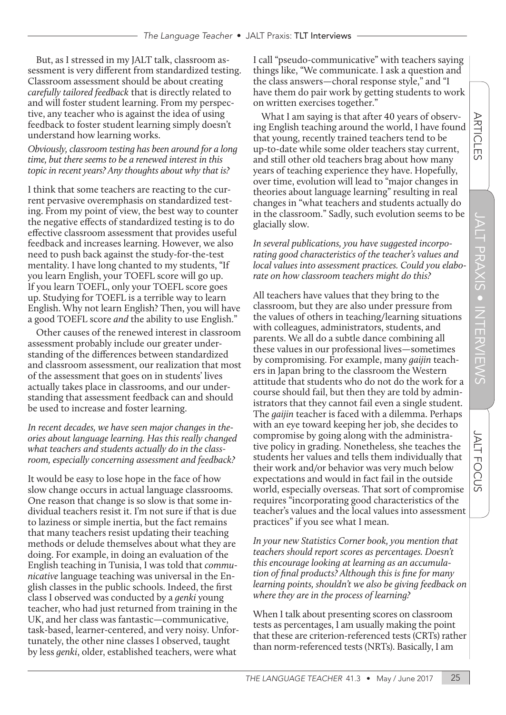$\overline{\mathbb{F}}$ マ  $\Box$ 

JALT

**FOCUS** 

But, as I stressed in my JALT talk, classroom assessment is very different from standardized testing. Classroom assessment should be about creating *carefully tailored feedback* that is directly related to and will foster student learning. From my perspective, any teacher who is against the idea of using feedback to foster student learning simply doesn't understand how learning works.

*Obviously, classroom testing has been around for a long time, but there seems to be a renewed interest in this topic in recent years? Any thoughts about why that is?* 

I think that some teachers are reacting to the current pervasive overemphasis on standardized testing. From my point of view, the best way to counter the negative effects of standardized testing is to do effective classroom assessment that provides useful feedback and increases learning. However, we also need to push back against the study-for-the-test mentality. I have long chanted to my students, "If you learn English, your TOEFL score will go up. If you learn TOEFL, only your TOEFL score goes up. Studying for TOEFL is a terrible way to learn English. Why not learn English? Then, you will have a good TOEFL score *and* the ability to use English."

Other causes of the renewed interest in classroom assessment probably include our greater understanding of the differences between standardized and classroom assessment, our realization that most of the assessment that goes on in students' lives actually takes place in classrooms, and our understanding that assessment feedback can and should be used to increase and foster learning.

*In recent decades, we have seen major changes in theories about language learning. Has this really changed what teachers and students actually do in the classroom, especially concerning assessment and feedback?*

It would be easy to lose hope in the face of how slow change occurs in actual language classrooms. One reason that change is so slow is that some individual teachers resist it. I'm not sure if that is due to laziness or simple inertia, but the fact remains that many teachers resist updating their teaching methods or delude themselves about what they are doing. For example, in doing an evaluation of the English teaching in Tunisia, I was told that *communicative* language teaching was universal in the English classes in the public schools. Indeed, the first class I observed was conducted by a *genki* young teacher, who had just returned from training in the UK, and her class was fantastic—communicative, task-based, learner-centered, and very noisy. Unfortunately, the other nine classes I observed, taught by less *genki*, older, established teachers, were what

I call "pseudo-communicative" with teachers saying things like, "We communicate. I ask a question and the class answers—choral response style," and "I have them do pair work by getting students to work on written exercises together."

What I am saying is that after 40 years of observing English teaching around the world, I have found that young, recently trained teachers tend to be up-to-date while some older teachers stay current, and still other old teachers brag about how many years of teaching experience they have. Hopefully, over time, evolution will lead to "major changes in theories about language learning" resulting in real changes in "what teachers and students actually do in the classroom." Sadly, such evolution seems to be glacially slow.

*In several publications, you have suggested incorporating good characteristics of the teacher's values and local values into assessment practices. Could you elaborate on how classroom teachers might do this?*

All teachers have values that they bring to the classroom, but they are also under pressure from the values of others in teaching/learning situations with colleagues, administrators, students, and parents. We all do a subtle dance combining all these values in our professional lives—sometimes by compromising. For example, many *gaijin* teachers in Japan bring to the classroom the Western attitude that students who do not do the work for a course should fail, but then they are told by administrators that they cannot fail even a single student. The *gaijin* teacher is faced with a dilemma. Perhaps with an eye toward keeping her job, she decides to compromise by going along with the administrative policy in grading. Nonetheless, she teaches the students her values and tells them individually that their work and/or behavior was very much below expectations and would in fact fail in the outside world, especially overseas. That sort of compromise requires "incorporating good characteristics of the teacher's values and the local values into assessment practices" if you see what I mean.

*In your new Statistics Corner book, you mention that teachers should report scores as percentages. Doesn't this encourage looking at learning as an accumulation of final products? Although this is fine for many learning points, shouldn't we also be giving feedback on where they are in the process of learning?* 

When I talk about presenting scores on classroom tests as percentages, I am usually making the point that these are criterion-referenced tests (CRTs) rather than norm-referenced tests (NRTs). Basically, I am